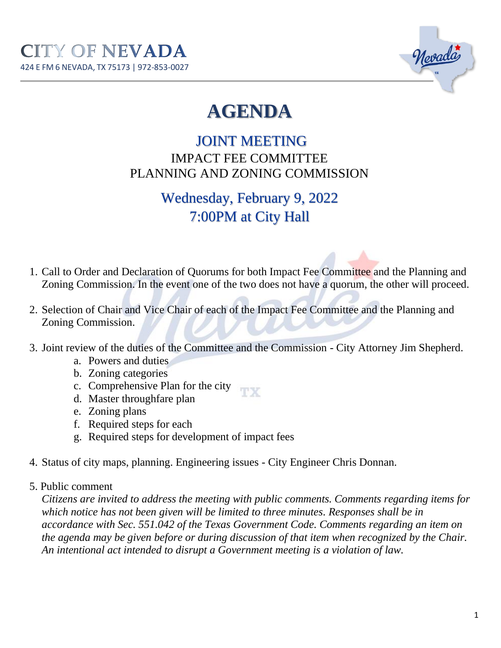

## **AGENDA**

## JOINT MEETING IMPACT FEE COMMITTEE PLANNING AND ZONING COMMISSION

## Wednesday, February 9, 2022 7:00PM at City Hall

- 1. Call to Order and Declaration of Quorums for both Impact Fee Committee and the Planning and Zoning Commission. In the event one of the two does not have a quorum, the other will proceed.
- 2. Selection of Chair and Vice Chair of each of the Impact Fee Committee and the Planning and Zoning Commission.
- 3. Joint review of the duties of the Committee and the Commission City Attorney Jim Shepherd.
	- a. Powers and duties
	- b. Zoning categories
	- c. Comprehensive Plan for the city
	- d. Master throughfare plan
	- e. Zoning plans
	- f. Required steps for each
	- g. Required steps for development of impact fees
- 4. Status of city maps, planning. Engineering issues City Engineer Chris Donnan.
- 5. Public comment

*Citizens are invited to address the meeting with public comments. Comments regarding items for which notice has not been given will be limited to three minutes. Responses shall be in accordance with Sec. 551.042 of the Texas Government Code. Comments regarding an item on the agenda may be given before or during discussion of that item when recognized by the Chair. An intentional act intended to disrupt a Government meeting is a violation of law.*